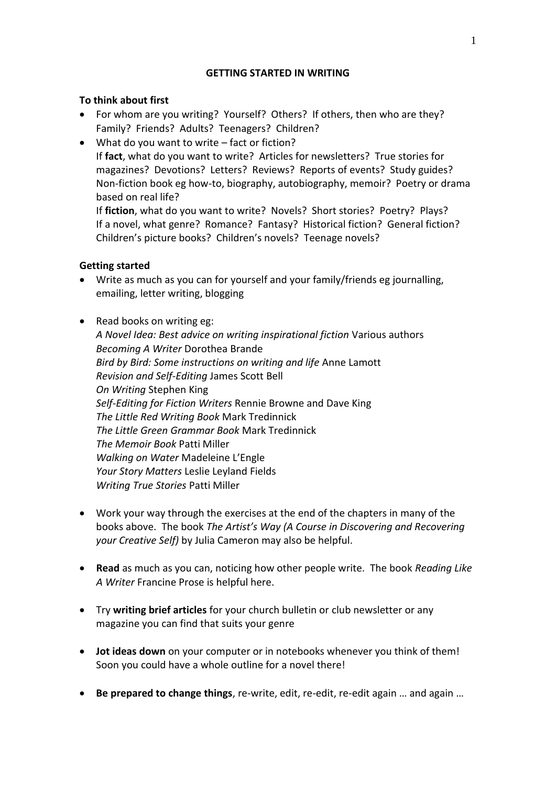## **GETTING STARTED IN WRITING**

## **To think about first**

- For whom are you writing? Yourself? Others? If others, then who are they? Family? Friends? Adults? Teenagers? Children?
- What do you want to write fact or fiction? If **fact**, what do you want to write? Articles for newsletters? True stories for magazines? Devotions? Letters? Reviews? Reports of events? Study guides? Non-fiction book eg how-to, biography, autobiography, memoir? Poetry or drama based on real life?

If **fiction**, what do you want to write? Novels? Short stories? Poetry? Plays? If a novel, what genre? Romance? Fantasy? Historical fiction? General fiction? Children's picture books? Children's novels? Teenage novels?

## **Getting started**

- Write as much as you can for yourself and your family/friends eg journalling, emailing, letter writing, blogging
- Read books on writing eg: *A Novel Idea: Best advice on writing inspirational fiction* Various authors *Becoming A Writer* Dorothea Brande *Bird by Bird: Some instructions on writing and life* Anne Lamott *Revision and Self-Editing* James Scott Bell *On Writing* Stephen King *Self-Editing for Fiction Writers* Rennie Browne and Dave King *The Little Red Writing Book* Mark Tredinnick *The Little Green Grammar Book* Mark Tredinnick *The Memoir Book* Patti Miller *Walking on Water* Madeleine L'Engle *Your Story Matters* Leslie Leyland Fields *Writing True Stories* Patti Miller
- Work your way through the exercises at the end of the chapters in many of the books above. The book *The Artist's Way (A Course in Discovering and Recovering your Creative Self)* by Julia Cameron may also be helpful.
- **Read** as much as you can, noticing how other people write. The book *Reading Like A Writer* Francine Prose is helpful here.
- Try **writing brief articles** for your church bulletin or club newsletter or any magazine you can find that suits your genre
- **Jot ideas down** on your computer or in notebooks whenever you think of them! Soon you could have a whole outline for a novel there!
- **Be prepared to change things**, re-write, edit, re-edit, re-edit again … and again …